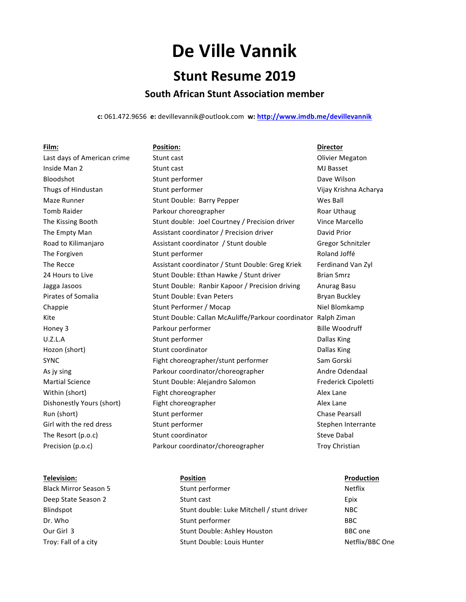# **De Ville Vannik**

## **Stunt Resume 2019**

### **South African Stunt Association member**

c: 061.472.9656 e: devillevannik@outlook.com w: http://www.imdb.me/devillevannik

| Film:                       | <b>Position:</b>                                               | <b>Director</b>        |
|-----------------------------|----------------------------------------------------------------|------------------------|
| Last days of American crime | Stunt cast                                                     | <b>Olivier Megaton</b> |
| Inside Man 2                | Stunt cast                                                     | MJ Basset              |
| Bloodshot                   | Stunt performer                                                | Dave Wilson            |
| Thugs of Hindustan          | Stunt performer                                                | Vijay Krishna Acharya  |
| Maze Runner                 | Stunt Double: Barry Pepper                                     | Wes Ball               |
| <b>Tomb Raider</b>          | Parkour choreographer                                          | Roar Uthaug            |
| The Kissing Booth           | Stunt double: Joel Courtney / Precision driver                 | Vince Marcello         |
| The Empty Man               | Assistant coordinator / Precision driver                       | David Prior            |
| Road to Kilimanjaro         | Assistant coordinator / Stunt double                           | Gregor Schnitzler      |
| The Forgiven                | Stunt performer                                                | Roland Joffé           |
| The Recce                   | Assistant coordinator / Stunt Double: Greg Kriek               | Ferdinand Van Zyl      |
| 24 Hours to Live            | Stunt Double: Ethan Hawke / Stunt driver                       | <b>Brian Smrz</b>      |
| Jagga Jasoos                | Stunt Double: Ranbir Kapoor / Precision driving                | Anurag Basu            |
| Pirates of Somalia          | <b>Stunt Double: Evan Peters</b>                               | Bryan Buckley          |
| Chappie                     | Stunt Performer / Mocap                                        | Niel Blomkamp          |
| Kite                        | Stunt Double: Callan McAuliffe/Parkour coordinator Ralph Ziman |                        |
| Honey 3                     | Parkour performer                                              | <b>Bille Woodruff</b>  |
| U.Z.L.A                     | Stunt performer                                                | Dallas King            |
| Hozon (short)               | Stunt coordinator                                              | Dallas King            |
| <b>SYNC</b>                 | Fight choreographer/stunt performer                            | Sam Gorski             |
| As jy sing                  | Parkour coordinator/choreographer                              | Andre Odendaal         |
| <b>Martial Science</b>      | Stunt Double: Alejandro Salomon                                | Frederick Cipoletti    |
| Within (short)              | Fight choreographer                                            | Alex Lane              |
| Dishonestly Yours (short)   | Fight choreographer                                            | Alex Lane              |
| Run (short)                 | Stunt performer                                                | <b>Chase Pearsall</b>  |
| Girl with the red dress     | Stunt performer                                                | Stephen Interrante     |
| The Resort (p.o.c)          | Stunt coordinator                                              | <b>Steve Dabal</b>     |
| Precision (p.o.c)           | Parkour coordinator/choreographer                              | <b>Troy Christian</b>  |

### **Television: Position Production**

Black Mirror Season 5 Stunt performer Season 5 Stunt performer Netflix Deep State Season 2 and Stunt cast Communications of the Epix Blindspot **Stunt double:** Luke Mitchell / stunt driver NBC Dr. Who BBC Our Girl 3 Stunt Double: Ashley Houston BBC one Troy: Fall of a city **Stunt Double:** Louis Hunter **Netflix/BBC** One